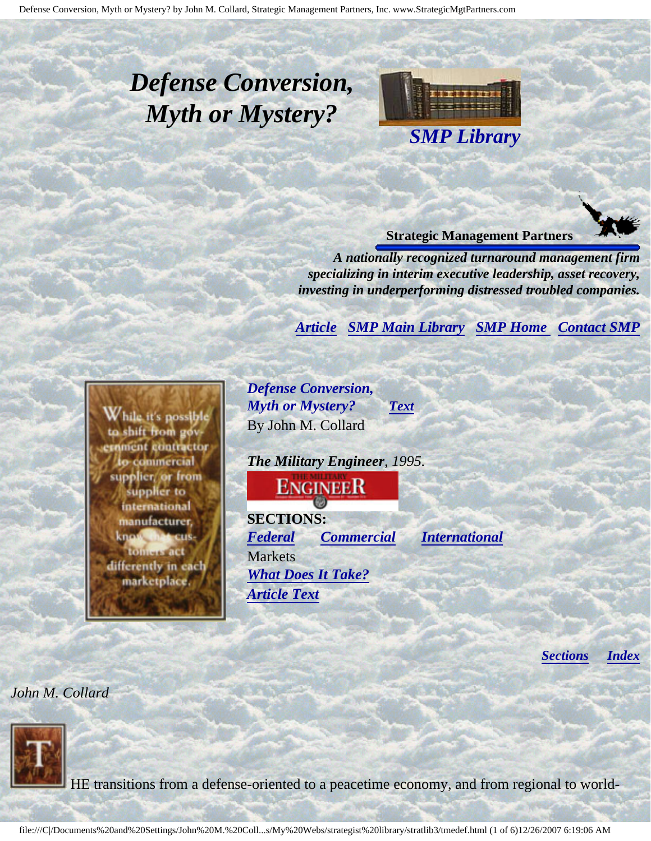# <span id="page-0-4"></span><span id="page-0-3"></span>*Defense Conversion, Myth or Mystery?*



#### **Strategic Management Partners**

*A nationally recognized turnaround management firm specializing in interim executive leadership, asset recovery, investing in underperforming distressed troubled companies.*

*[Article](#page-0-0) [SMP Main Library](http://members.aol.com/stratlib3/libindx.html#TOP) [SMP Home](http://members.aol.com/strategist/home.html#TOP) [Contact SMP](#page-4-0)*

<span id="page-0-2"></span><span id="page-0-0"></span>

*Defense Conversion, Myth or Mystery? [Text](#page-0-1)* By John M. Collard

*The Military Engineer, 1995.*

**ENGINEER** 

**SECTIONS:** *[Federal](#page-1-0) [Commercial](#page-2-0) [International](#page-2-1)* Markets *[What Does It Take?](#page-3-0) [Article Text](#page-0-1)*

*[Sections](#page-0-2) [Index](#page-0-3)*

<span id="page-0-1"></span>*John M. Collard*



HE transitions from a defense-oriented to a peacetime economy, and from regional to world-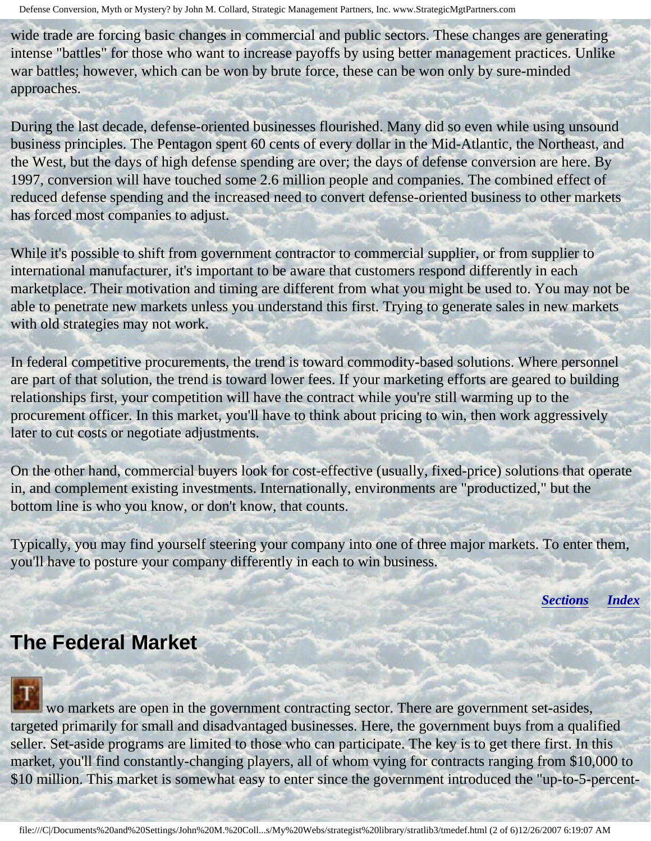wide trade are forcing basic changes in commercial and public sectors. These changes are generating intense "battles" for those who want to increase payoffs by using better management practices. Unlike war battles; however, which can be won by brute force, these can be won only by sure-minded approaches.

During the last decade, defense-oriented businesses flourished. Many did so even while using unsound business principles. The Pentagon spent 60 cents of every dollar in the Mid-Atlantic, the Northeast, and the West, but the days of high defense spending are over; the days of defense conversion are here. By 1997, conversion will have touched some 2.6 million people and companies. The combined effect of reduced defense spending and the increased need to convert defense-oriented business to other markets has forced most companies to adjust.

While it's possible to shift from government contractor to commercial supplier, or from supplier to international manufacturer, it's important to be aware that customers respond differently in each marketplace. Their motivation and timing are different from what you might be used to. You may not be able to penetrate new markets unless you understand this first. Trying to generate sales in new markets with old strategies may not work.

In federal competitive procurements, the trend is toward commodity-based solutions. Where personnel are part of that solution, the trend is toward lower fees. If your marketing efforts are geared to building relationships first, your competition will have the contract while you're still warming up to the procurement officer. In this market, you'll have to think about pricing to win, then work aggressively later to cut costs or negotiate adjustments.

On the other hand, commercial buyers look for cost-effective (usually, fixed-price) solutions that operate in, and complement existing investments. Internationally, environments are "productized," but the bottom line is who you know, or don't know, that counts.

<span id="page-1-0"></span>Typically, you may find yourself steering your company into one of three major markets. To enter them, you'll have to posture your company differently in each to win business.

*[Sections](#page-0-2) [Index](#page-0-3)*

### **The Federal Market**

 wo markets are open in the government contracting sector. There are government set-asides, targeted primarily for small and disadvantaged businesses. Here, the government buys from a qualified seller. Set-aside programs are limited to those who can participate. The key is to get there first. In this market, you'll find constantly-changing players, all of whom vying for contracts ranging from \$10,000 to \$10 million. This market is somewhat easy to enter since the government introduced the "up-to-5-percent-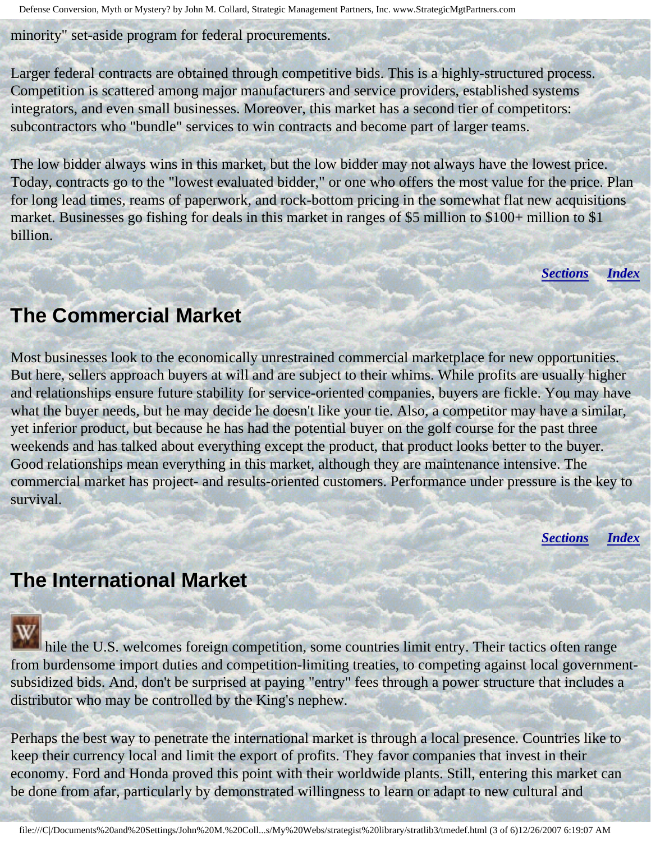minority" set-aside program for federal procurements.

Larger federal contracts are obtained through competitive bids. This is a highly-structured process. Competition is scattered among major manufacturers and service providers, established systems integrators, and even small businesses. Moreover, this market has a second tier of competitors: subcontractors who "bundle" services to win contracts and become part of larger teams.

The low bidder always wins in this market, but the low bidder may not always have the lowest price. Today, contracts go to the "lowest evaluated bidder," or one who offers the most value for the price. Plan for long lead times, reams of paperwork, and rock-bottom pricing in the somewhat flat new acquisitions market. Businesses go fishing for deals in this market in ranges of \$5 million to \$100+ million to \$1 billion.

*[Sections](#page-0-2) [Index](#page-0-3)*

#### <span id="page-2-0"></span>**The Commercial Market**

Most businesses look to the economically unrestrained commercial marketplace for new opportunities. But here, sellers approach buyers at will and are subject to their whims. While profits are usually higher and relationships ensure future stability for service-oriented companies, buyers are fickle. You may have what the buyer needs, but he may decide he doesn't like your tie. Also, a competitor may have a similar, yet inferior product, but because he has had the potential buyer on the golf course for the past three weekends and has talked about everything except the product, that product looks better to the buyer. Good relationships mean everything in this market, although they are maintenance intensive. The commercial market has project- and results-oriented customers. Performance under pressure is the key to survival.

*[Sections](#page-0-2) [Index](#page-0-3)*

### <span id="page-2-1"></span>**The International Market**

hile the U.S. welcomes foreign competition, some countries limit entry. Their tactics often range from burdensome import duties and competition-limiting treaties, to competing against local governmentsubsidized bids. And, don't be surprised at paying "entry" fees through a power structure that includes a distributor who may be controlled by the King's nephew.

Perhaps the best way to penetrate the international market is through a local presence. Countries like to keep their currency local and limit the export of profits. They favor companies that invest in their economy. Ford and Honda proved this point with their worldwide plants. Still, entering this market can be done from afar, particularly by demonstrated willingness to learn or adapt to new cultural and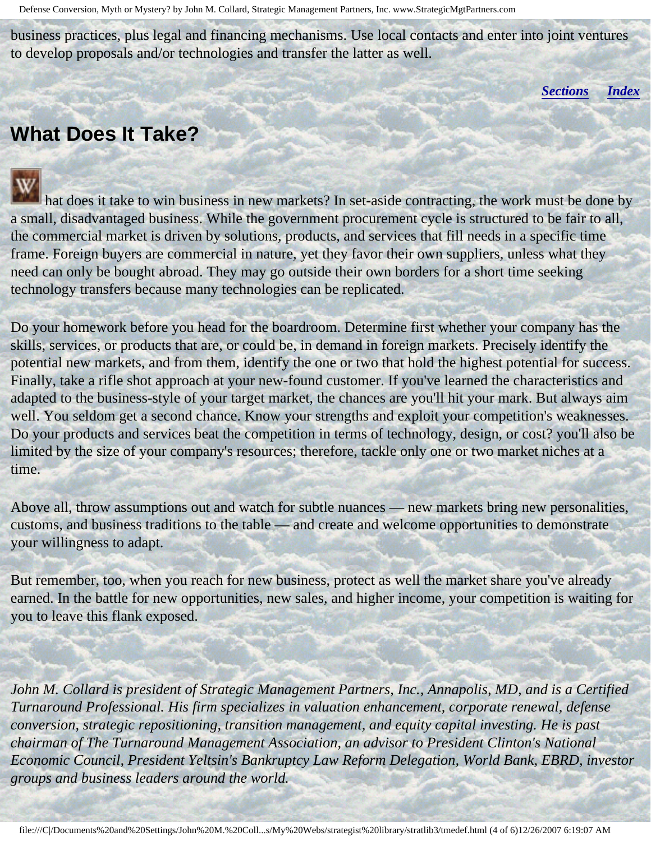<span id="page-3-0"></span>business practices, plus legal and financing mechanisms. Use local contacts and enter into joint ventures to develop proposals and/or technologies and transfer the latter as well.

*[Sections](#page-0-2) [Index](#page-0-3)*

## **What Does It Take?**

j

 hat does it take to win business in new markets? In set-aside contracting, the work must be done by a small, disadvantaged business. While the government procurement cycle is structured to be fair to all, the commercial market is driven by solutions, products, and services that fill needs in a specific time frame. Foreign buyers are commercial in nature, yet they favor their own suppliers, unless what they need can only be bought abroad. They may go outside their own borders for a short time seeking technology transfers because many technologies can be replicated.

Do your homework before you head for the boardroom. Determine first whether your company has the skills, services, or products that are, or could be, in demand in foreign markets. Precisely identify the potential new markets, and from them, identify the one or two that hold the highest potential for success. Finally, take a rifle shot approach at your new-found customer. If you've learned the characteristics and adapted to the business-style of your target market, the chances are you'll hit your mark. But always aim well. You seldom get a second chance. Know your strengths and exploit your competition's weaknesses. Do your products and services beat the competition in terms of technology, design, or cost? you'll also be limited by the size of your company's resources; therefore, tackle only one or two market niches at a time.

Above all, throw assumptions out and watch for subtle nuances — new markets bring new personalities, customs, and business traditions to the table — and create and welcome opportunities to demonstrate your willingness to adapt.

But remember, too, when you reach for new business, protect as well the market share you've already earned. In the battle for new opportunities, new sales, and higher income, your competition is waiting for you to leave this flank exposed.

*John M. Collard is president of Strategic Management Partners, Inc., Annapolis, MD, and is a Certified Turnaround Professional. His firm specializes in valuation enhancement, corporate renewal, defense conversion, strategic repositioning, transition management, and equity capital investing. He is past chairman of The Turnaround Management Association, an advisor to President Clinton's National Economic Council, President Yeltsin's Bankruptcy Law Reform Delegation, World Bank, EBRD, investor groups and business leaders around the world.*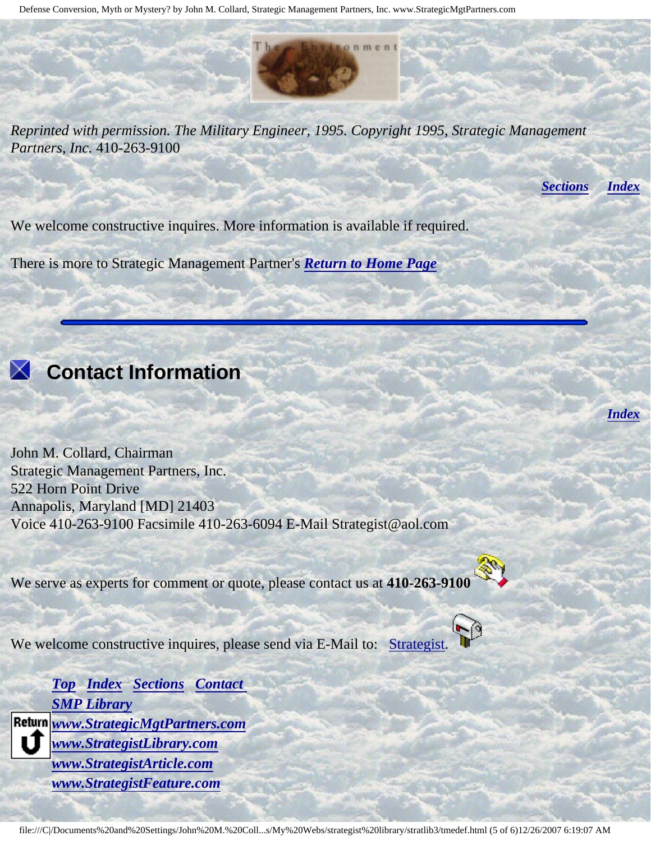*Reprinted with permission. The Military Engineer, 1995. Copyright 1995, Strategic Management Partners, Inc.* 410-263-9100

 $0 \nmid m \nmid n$ 

*[Sections](#page-0-2) [Index](#page-0-3)*

*[Index](#page-0-3)*

We welcome constructive inquires. More information is available if required.

There is more to Strategic Management Partner's *[Return to Home Page](http://members.aol.com/strategist/home.html#TOP)*

<span id="page-4-0"></span>

#### **Contact Information**

John M. Collard, Chairman Strategic Management Partners, Inc. 522 Horn Point Drive Annapolis, Maryland [MD] 21403 Voice 410-263-9100 Facsimile 410-263-6094 E-Mail Strategist@aol.com

We serve as experts for comment or quote, please contact us at **410-263-9100**



We welcome constructive inquires, please send via E-Mail to: [Strategist.](mailto:Strategist@aol.com (library tme))

*[Top](#page-0-4) [Index](#page-0-3) [Sections](#page-0-2) [Contact](#page-4-0)  [SMP Library](http://members.aol.com/stratlib3/libindx.html) [www.StrategicMgtPartners.com](http://www.strategicmgtpartners.com/) [www.StrategistLibrary.com](http://www.strategistlibrary.com/) [www.StrategistArticle.com](http://www.strategistarticle.com/) [www.StrategistFeature.com](http://www.strategistfeature.com/)*